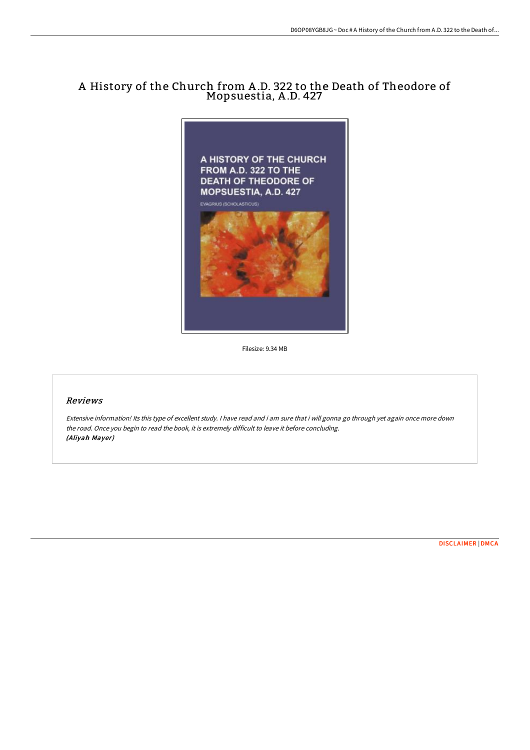# A History of the Church from A .D. 322 to the Death of Theodore of Mopsuestia, A .D. 427



Filesize: 9.34 MB

# Reviews

Extensive information! Its this type of excellent study. <sup>I</sup> have read and i am sure that i will gonna go through yet again once more down the road. Once you begin to read the book, it is extremely difficult to leave it before concluding. (Aliyah Mayer)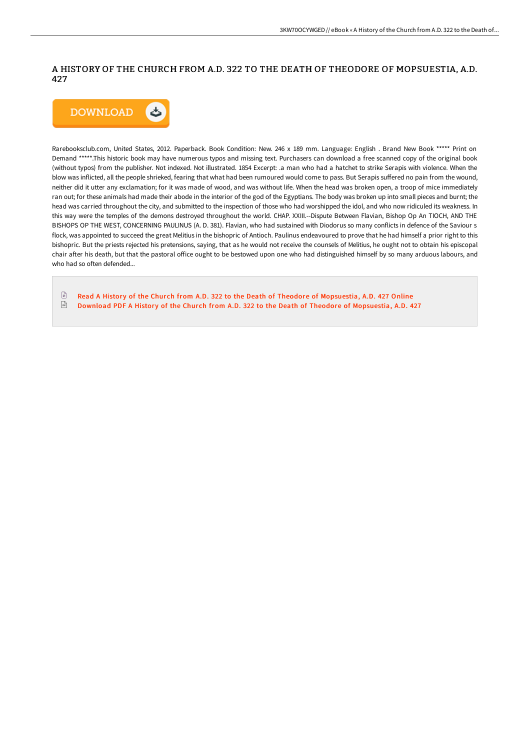## A HISTORY OF THE CHURCH FROM A.D. 322 TO THE DEATH OF THEODORE OF MOPSUESTIA, A.D. 427



Rarebooksclub.com, United States, 2012. Paperback. Book Condition: New. 246 x 189 mm. Language: English . Brand New Book \*\*\*\*\* Print on Demand \*\*\*\*\*.This historic book may have numerous typos and missing text. Purchasers can download a free scanned copy of the original book (without typos) from the publisher. Not indexed. Not illustrated. 1854 Excerpt: .a man who had a hatchet to strike Serapis with violence. When the blow was inflicted, all the people shrieked, fearing that what had been rumoured would come to pass. But Serapis suffered no pain from the wound, neither did it utter any exclamation; for it was made of wood, and was without life. When the head was broken open, a troop of mice immediately ran out; for these animals had made their abode in the interior of the god of the Egyptians. The body was broken up into small pieces and burnt; the head was carried throughout the city, and submitted to the inspection of those who had worshipped the idol, and who now ridiculed its weakness. In this way were the temples of the demons destroyed throughout the world. CHAP. XXIII.--Dispute Between Flavian, Bishop Op An TIOCH, AND THE BISHOPS OP THE WEST, CONCERNING PAULINUS (A. D. 381). Flavian, who had sustained with Diodorus so many conflicts in defence of the Saviour s flock, was appointed to succeed the great Melitius in the bishopric of Antioch. Paulinus endeavoured to prove that he had himself a prior right to this bishopric. But the priests rejected his pretensions, saying, that as he would not receive the counsels of Melitius, he ought not to obtain his episcopal chair after his death, but that the pastoral office ought to be bestowed upon one who had distinguished himself by so many arduous labours, and who had so often defended...

 $\mathbb{R}$ Read A History of the Church from A.D. 322 to the Death of Theodore of [Mopsuestia,](http://bookera.tech/a-history-of-the-church-from-a-d-322-to-the-deat.html) A.D. 427 Online  $\frac{1}{100}$ Download PDF A History of the Church from A.D. 322 to the Death of Theodore of [Mopsuestia,](http://bookera.tech/a-history-of-the-church-from-a-d-322-to-the-deat.html) A.D. 427